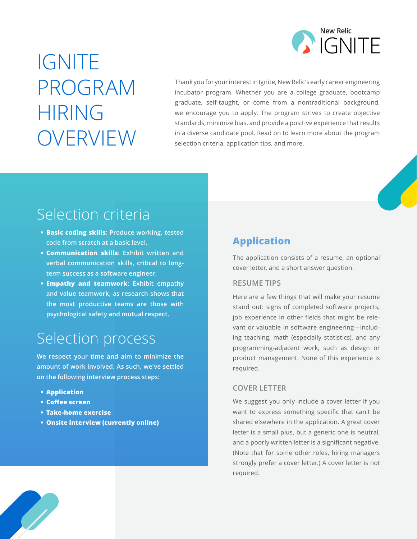

# IGNITE PROGRAM HIRING OVERVIEW

Thank you for your interest in Ignite, New Relic's early career engineering incubator program. Whether you are a college graduate, bootcamp graduate, self-taught, or come from a nontraditional background, we encourage you to apply. The program strives to create objective standards, minimize bias, and provide a positive experience that results in a diverse candidate pool. Read on to learn more about the program selection criteria, application tips, and more.

# Selection criteria

- **• Basic coding skills: Produce working, tested code from scratch at a basic level.**
- **• Communication skills: Exhibit written and verbal communication skills, critical to longterm success as a software engineer.**
- **• Empathy and teamwork: Exhibit empathy and value teamwork, as research shows that the most productive teams are those with psychological safety and mutual respect.**

# Selection process

**We respect your time and aim to minimize the amount of work involved. As such, we've settled on the following interview process steps:**

- **• Application**
- **• Coffee screen**
- **• Take-home exercise**
- **• Onsite interview (currently online)**

# **Application**

The application consists of a resume, an optional cover letter, and a short answer question.

#### **RESUME TIPS**

Here are a few things that will make your resume stand out: signs of completed software projects; job experience in other fields that might be relevant or valuable in software engineering—including teaching, math (especially statistics), and any programming-adjacent work, such as design or product management. None of this experience is required.

#### **COVER LETTER**

We suggest you only include a cover letter if you want to express something specific that can't be shared elsewhere in the application. A great cover letter is a small plus, but a generic one is neutral, and a poorly written letter is a significant negative. (Note that for some other roles, hiring managers strongly prefer a cover letter.) A cover letter is not required.